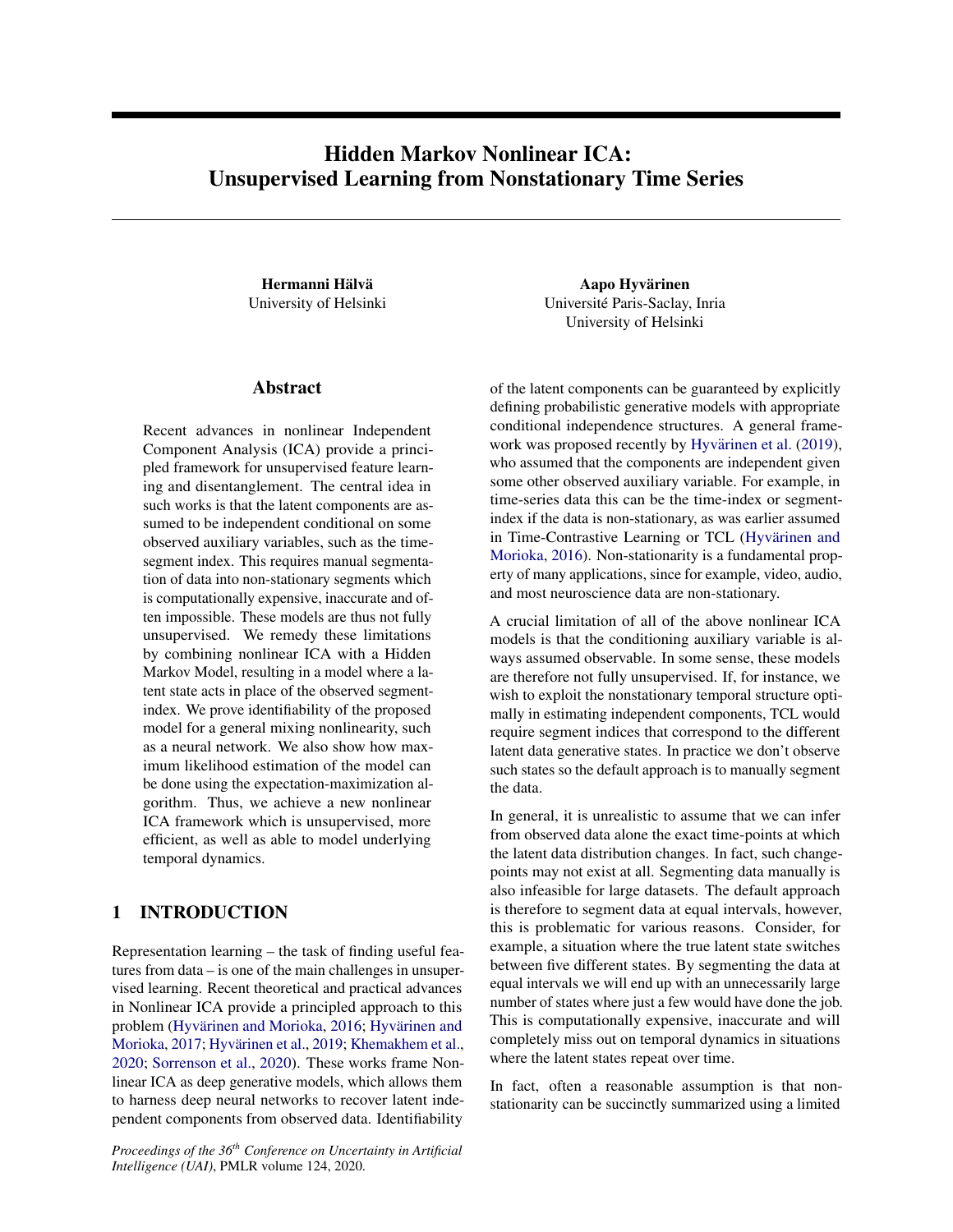# Hidden Markov Nonlinear ICA: Unsupervised Learning from Nonstationary Time Series

Hermanni Hälvä University of Helsinki

### Abstract

Recent advances in nonlinear Independent Component Analysis (ICA) provide a principled framework for unsupervised feature learning and disentanglement. The central idea in such works is that the latent components are assumed to be independent conditional on some observed auxiliary variables, such as the timesegment index. This requires manual segmentation of data into non-stationary segments which is computationally expensive, inaccurate and often impossible. These models are thus not fully unsupervised. We remedy these limitations by combining nonlinear ICA with a Hidden Markov Model, resulting in a model where a latent state acts in place of the observed segmentindex. We prove identifiability of the proposed model for a general mixing nonlinearity, such as a neural network. We also show how maximum likelihood estimation of the model can be done using the expectation-maximization algorithm. Thus, we achieve a new nonlinear ICA framework which is unsupervised, more efficient, as well as able to model underlying temporal dynamics.

# 1 INTRODUCTION

Representation learning – the task of finding useful features from data – is one of the main challenges in unsupervised learning. Recent theoretical and practical advances in Nonlinear ICA provide a principled approach to this problem (Hyvärinen and Morioka, [2016;](#page-9-0) Hyvärinen and [Morioka,](#page-9-1) [2017;](#page-9-1) Hyvärinen et al., [2019;](#page-9-2) [Khemakhem et al.,](#page-9-3) [2020;](#page-9-3) [Sorrenson et al.,](#page-9-4) [2020\)](#page-9-4). These works frame Nonlinear ICA as deep generative models, which allows them to harness deep neural networks to recover latent independent components from observed data. Identifiability

*Proceedings of the 36th Conference on Uncertainty in Artificial Intelligence (UAI)*, PMLR volume 124, 2020.

Aapo Hyvärinen Universite Paris-Saclay, Inria ´ University of Helsinki

of the latent components can be guaranteed by explicitly defining probabilistic generative models with appropriate conditional independence structures. A general frame-work was proposed recently by Hyvärinen et al. [\(2019\)](#page-9-2), who assumed that the components are independent given some other observed auxiliary variable. For example, in time-series data this can be the time-index or segmentindex if the data is non-stationary, as was earlier assumed in Time-Contrastive Learning or TCL (Hyvärinen and [Morioka,](#page-9-0) [2016\)](#page-9-0). Non-stationarity is a fundamental property of many applications, since for example, video, audio, and most neuroscience data are non-stationary.

A crucial limitation of all of the above nonlinear ICA models is that the conditioning auxiliary variable is always assumed observable. In some sense, these models are therefore not fully unsupervised. If, for instance, we wish to exploit the nonstationary temporal structure optimally in estimating independent components, TCL would require segment indices that correspond to the different latent data generative states. In practice we don't observe such states so the default approach is to manually segment the data.

In general, it is unrealistic to assume that we can infer from observed data alone the exact time-points at which the latent data distribution changes. In fact, such changepoints may not exist at all. Segmenting data manually is also infeasible for large datasets. The default approach is therefore to segment data at equal intervals, however, this is problematic for various reasons. Consider, for example, a situation where the true latent state switches between five different states. By segmenting the data at equal intervals we will end up with an unnecessarily large number of states where just a few would have done the job. This is computationally expensive, inaccurate and will completely miss out on temporal dynamics in situations where the latent states repeat over time.

In fact, often a reasonable assumption is that nonstationarity can be succinctly summarized using a limited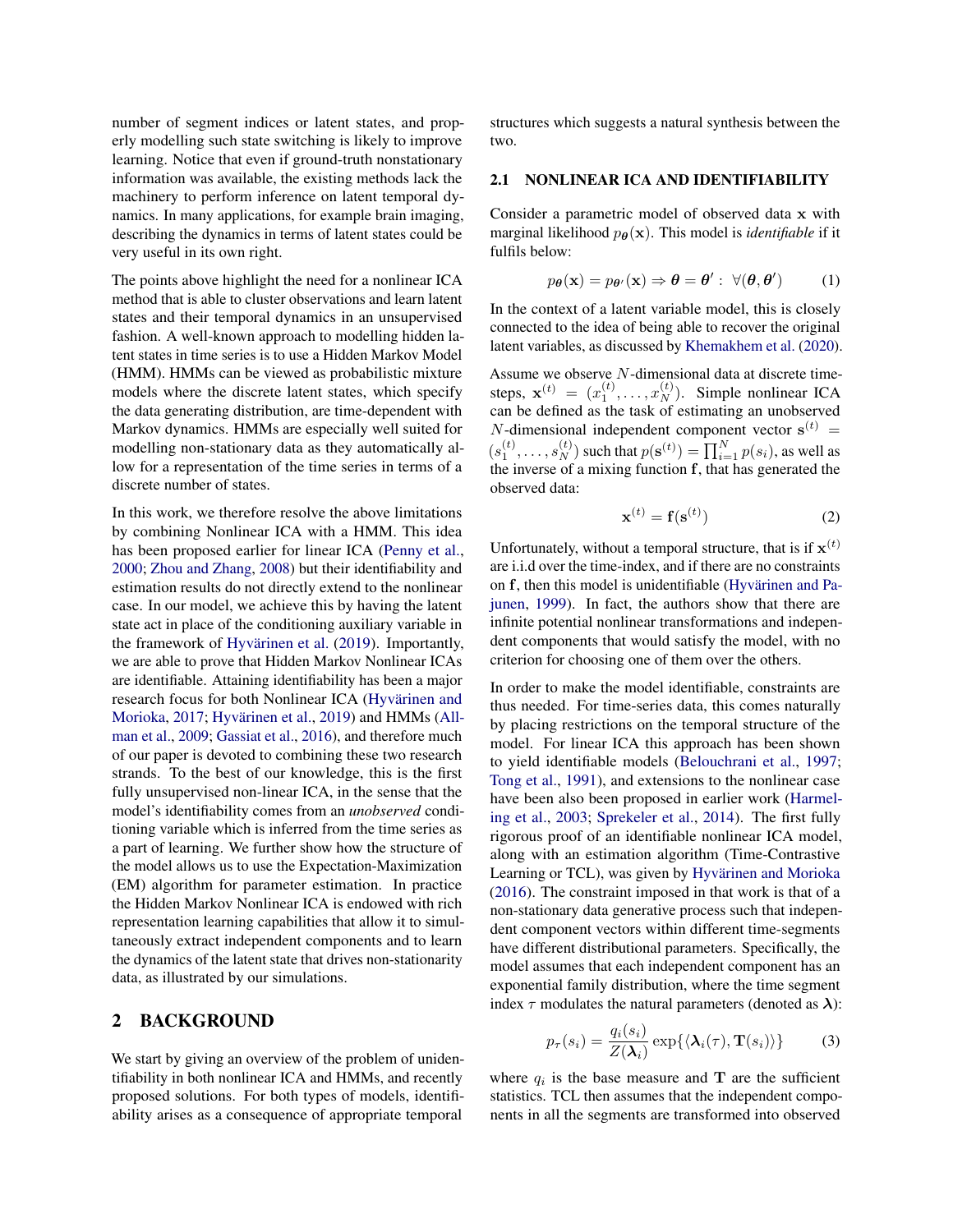number of segment indices or latent states, and properly modelling such state switching is likely to improve learning. Notice that even if ground-truth nonstationary information was available, the existing methods lack the machinery to perform inference on latent temporal dynamics. In many applications, for example brain imaging, describing the dynamics in terms of latent states could be very useful in its own right.

The points above highlight the need for a nonlinear ICA method that is able to cluster observations and learn latent states and their temporal dynamics in an unsupervised fashion. A well-known approach to modelling hidden latent states in time series is to use a Hidden Markov Model (HMM). HMMs can be viewed as probabilistic mixture models where the discrete latent states, which specify the data generating distribution, are time-dependent with Markov dynamics. HMMs are especially well suited for modelling non-stationary data as they automatically allow for a representation of the time series in terms of a discrete number of states.

In this work, we therefore resolve the above limitations by combining Nonlinear ICA with a HMM. This idea has been proposed earlier for linear ICA [\(Penny et al.,](#page-9-5) [2000;](#page-9-5) [Zhou and Zhang,](#page-9-6) [2008\)](#page-9-6) but their identifiability and estimation results do not directly extend to the nonlinear case. In our model, we achieve this by having the latent state act in place of the conditioning auxiliary variable in the framework of Hyvärinen et al. [\(2019\)](#page-9-2). Importantly, we are able to prove that Hidden Markov Nonlinear ICAs are identifiable. Attaining identifiability has been a major research focus for both Nonlinear ICA (Hyvärinen and [Morioka,](#page-9-1) [2017;](#page-9-1) Hyvärinen et al., [2019\)](#page-9-2) and HMMs [\(All](#page-9-7)[man et al.,](#page-9-7) [2009;](#page-9-7) [Gassiat et al.,](#page-9-8) [2016\)](#page-9-8), and therefore much of our paper is devoted to combining these two research strands. To the best of our knowledge, this is the first fully unsupervised non-linear ICA, in the sense that the model's identifiability comes from an *unobserved* conditioning variable which is inferred from the time series as a part of learning. We further show how the structure of the model allows us to use the Expectation-Maximization (EM) algorithm for parameter estimation. In practice the Hidden Markov Nonlinear ICA is endowed with rich representation learning capabilities that allow it to simultaneously extract independent components and to learn the dynamics of the latent state that drives non-stationarity data, as illustrated by our simulations.

### 2 BACKGROUND

We start by giving an overview of the problem of unidentifiability in both nonlinear ICA and HMMs, and recently proposed solutions. For both types of models, identifiability arises as a consequence of appropriate temporal

structures which suggests a natural synthesis between the two.

#### 2.1 NONLINEAR ICA AND IDENTIFIABILITY

Consider a parametric model of observed data x with marginal likelihood  $p_{\theta}(\mathbf{x})$ . This model is *identifiable* if it fulfils below:

$$
p_{\theta}(\mathbf{x}) = p_{\theta'}(\mathbf{x}) \Rightarrow \theta = \theta' : \ \forall (\theta, \theta') \tag{1}
$$

In the context of a latent variable model, this is closely connected to the idea of being able to recover the original latent variables, as discussed by [Khemakhem et al.](#page-9-3) [\(2020\)](#page-9-3).

Assume we observe  $N$ -dimensional data at discrete timesteps,  $\mathbf{x}^{(t)} = (x_1^{(t)}, \dots, x_N^{(t)})$ . Simple nonlinear ICA can be defined as the task of estimating an unobserved *N*-dimensional independent component vector  $s^{(t)}$  =  $(s_1^{(t)}, \ldots, s_N^{(t)})$  such that  $p(\mathbf{s}^{(t)}) = \prod_{i=1}^N p(s_i)$ , as well as the inverse of a mixing function f, that has generated the observed data:

<span id="page-1-0"></span>
$$
\mathbf{x}^{(t)} = \mathbf{f}(\mathbf{s}^{(t)})\tag{2}
$$

Unfortunately, without a temporal structure, that is if  $\mathbf{x}^{(t)}$ are i.i.d over the time-index, and if there are no constraints on f, then this model is unidentifiable (Hyvärinen and Pa[junen,](#page-9-9) [1999\)](#page-9-9). In fact, the authors show that there are infinite potential nonlinear transformations and independent components that would satisfy the model, with no criterion for choosing one of them over the others.

In order to make the model identifiable, constraints are thus needed. For time-series data, this comes naturally by placing restrictions on the temporal structure of the model. For linear ICA this approach has been shown to yield identifiable models [\(Belouchrani et al.,](#page-9-10) [1997;](#page-9-10) [Tong et al.,](#page-9-11) [1991\)](#page-9-11), and extensions to the nonlinear case have been also been proposed in earlier work [\(Harmel](#page-9-12)[ing et al.,](#page-9-12) [2003;](#page-9-12) [Sprekeler et al.,](#page-9-13) [2014\)](#page-9-13). The first fully rigorous proof of an identifiable nonlinear ICA model, along with an estimation algorithm (Time-Contrastive Learning or TCL), was given by Hyvärinen and Morioka [\(2016\)](#page-9-0). The constraint imposed in that work is that of a non-stationary data generative process such that independent component vectors within different time-segments have different distributional parameters. Specifically, the model assumes that each independent component has an exponential family distribution, where the time segment index  $\tau$  modulates the natural parameters (denoted as  $\lambda$ ):

$$
p_{\tau}(s_i) = \frac{q_i(s_i)}{Z(\lambda_i)} \exp\{\langle \lambda_i(\tau), \mathbf{T}(s_i) \rangle\}
$$
(3)

where  $q_i$  is the base measure and  $\mathbf T$  are the sufficient statistics. TCL then assumes that the independent components in all the segments are transformed into observed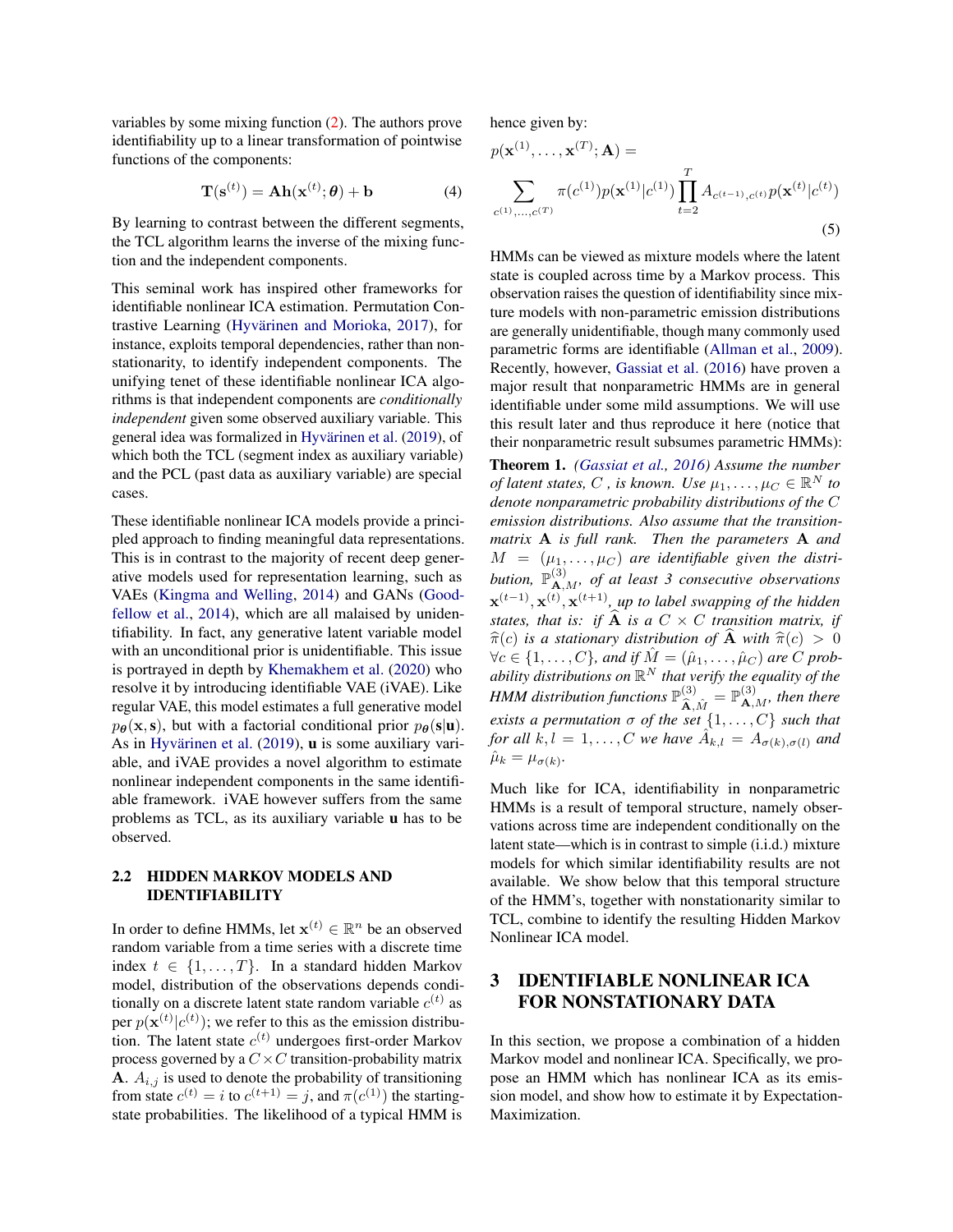variables by some mixing function [\(2\)](#page-1-0). The authors prove identifiability up to a linear transformation of pointwise functions of the components:

$$
\mathbf{T}(\mathbf{s}^{(t)}) = \mathbf{Ah}(\mathbf{x}^{(t)}; \boldsymbol{\theta}) + \mathbf{b}
$$
 (4)

By learning to contrast between the different segments, the TCL algorithm learns the inverse of the mixing function and the independent components.

This seminal work has inspired other frameworks for identifiable nonlinear ICA estimation. Permutation Con-trastive Learning (Hyvärinen and Morioka, [2017\)](#page-9-1), for instance, exploits temporal dependencies, rather than nonstationarity, to identify independent components. The unifying tenet of these identifiable nonlinear ICA algorithms is that independent components are *conditionally independent* given some observed auxiliary variable. This general idea was formalized in Hyvärinen et al. [\(2019\)](#page-9-2), of which both the TCL (segment index as auxiliary variable) and the PCL (past data as auxiliary variable) are special cases.

These identifiable nonlinear ICA models provide a principled approach to finding meaningful data representations. This is in contrast to the majority of recent deep generative models used for representation learning, such as VAEs [\(Kingma and Welling,](#page-9-14) [2014\)](#page-9-14) and GANs [\(Good](#page-9-15)[fellow et al.,](#page-9-15) [2014\)](#page-9-15), which are all malaised by unidentifiability. In fact, any generative latent variable model with an unconditional prior is unidentifiable. This issue is portrayed in depth by [Khemakhem et al.](#page-9-3) [\(2020\)](#page-9-3) who resolve it by introducing identifiable VAE (iVAE). Like regular VAE, this model estimates a full generative model  $p_{\theta}(\mathbf{x},\mathbf{s})$ , but with a factorial conditional prior  $p_{\theta}(\mathbf{s}|\mathbf{u})$ . As in Hyvärinen et al.  $(2019)$ , **u** is some auxiliary variable, and iVAE provides a novel algorithm to estimate nonlinear independent components in the same identifiable framework. iVAE however suffers from the same problems as TCL, as its auxiliary variable u has to be observed.

### 2.2 HIDDEN MARKOV MODELS AND IDENTIFIABILITY

In order to define HMMs, let  $\mathbf{x}^{(t)} \in \mathbb{R}^n$  be an observed random variable from a time series with a discrete time index  $t \in \{1, \ldots, T\}$ . In a standard hidden Markov model, distribution of the observations depends conditionally on a discrete latent state random variable  $c^{(t)}$  as per  $p(\mathbf{x}^{(t)}|c^{(t)})$ ; we refer to this as the emission distribution. The latent state  $c^{(t)}$  undergoes first-order Markov process governed by a  $C \times C$  transition-probability matrix **A**.  $A_{i,j}$  is used to denote the probability of transitioning from state  $c^{(t)} = i$  to  $c^{(t+1)} = j$ , and  $\pi(c^{(1)})$  the startingstate probabilities. The likelihood of a typical HMM is

hence given by:

$$
p(\mathbf{x}^{(1)}, \dots, \mathbf{x}^{(T)}; \mathbf{A}) = \sum_{c^{(1)}, \dots, c^{(T)}} \pi(c^{(1)}) p(\mathbf{x}^{(1)} | c^{(1)}) \prod_{t=2}^{T} A_{c^{(t-1)}, c^{(t)}} p(\mathbf{x}^{(t)} | c^{(t)})
$$
\n(5)

<span id="page-2-1"></span><span id="page-2-0"></span>HMMs can be viewed as mixture models where the latent state is coupled across time by a Markov process. This observation raises the question of identifiability since mixture models with non-parametric emission distributions are generally unidentifiable, though many commonly used parametric forms are identifiable [\(Allman et al.,](#page-9-7) [2009\)](#page-9-7). Recently, however, [Gassiat et al.](#page-9-8) [\(2016\)](#page-9-8) have proven a major result that nonparametric HMMs are in general identifiable under some mild assumptions. We will use this result later and thus reproduce it here (notice that their nonparametric result subsumes parametric HMMs): Theorem 1. *[\(Gassiat et al.,](#page-9-8) [2016\)](#page-9-8) Assume the number of latent states, C* , *is known. Use*  $\mu_1, \ldots, \mu_C \in \mathbb{R}^N$  *to denote nonparametric probability distributions of the* C *emission distributions. Also assume that the transitionmatrix* A *is full rank. Then the parameters* A *and*  $M = (\mu_1, \dots, \mu_C)$  are identifiable given the distribution,  $\mathbb{P}^{(3)}_{\mathbf{A},M}$ , of at least 3 consecutive observations  $\mathbf{x}^{(t-1)}, \mathbf{x}^{(t)}, \mathbf{x}^{(t+1)}$ , up to label swapping of the hidden *states, that is: if* **A** *is a*  $C \times C$  *transition matrix, if*  $\hat{\pi}(c)$  *is a stationary distribution of* **A** *with*  $\hat{\pi}(c) > 0$  $\forall c \in \{1, \ldots, C\}$ , and if  $\hat{M} = (\hat{\mu}_1, \ldots, \hat{\mu}_C)$  are C prob*ability distributions on* R <sup>N</sup> *that verify the equality of the HMM distribution functions*  $\mathbb{P}^{(3)}_{\mathbf{\hat{A}},\hat{M}} = \mathbb{P}^{(3)}_{\mathbf{A},M}$ , then there *exists a permutation*  $\sigma$  *of the set*  $\{1, \ldots, C\}$  *such that for all*  $k, l = 1, ..., C$  *we have*  $\hat{A}_{k,l} = A_{\sigma(k), \sigma(l)}$  *and*  $\hat{\mu}_k = \mu_{\sigma(k)}$ .

Much like for ICA, identifiability in nonparametric HMMs is a result of temporal structure, namely observations across time are independent conditionally on the latent state—which is in contrast to simple (i.i.d.) mixture models for which similar identifiability results are not available. We show below that this temporal structure of the HMM's, together with nonstationarity similar to TCL, combine to identify the resulting Hidden Markov Nonlinear ICA model.

# 3 IDENTIFIABLE NONLINEAR ICA FOR NONSTATIONARY DATA

In this section, we propose a combination of a hidden Markov model and nonlinear ICA. Specifically, we propose an HMM which has nonlinear ICA as its emission model, and show how to estimate it by Expectation-Maximization.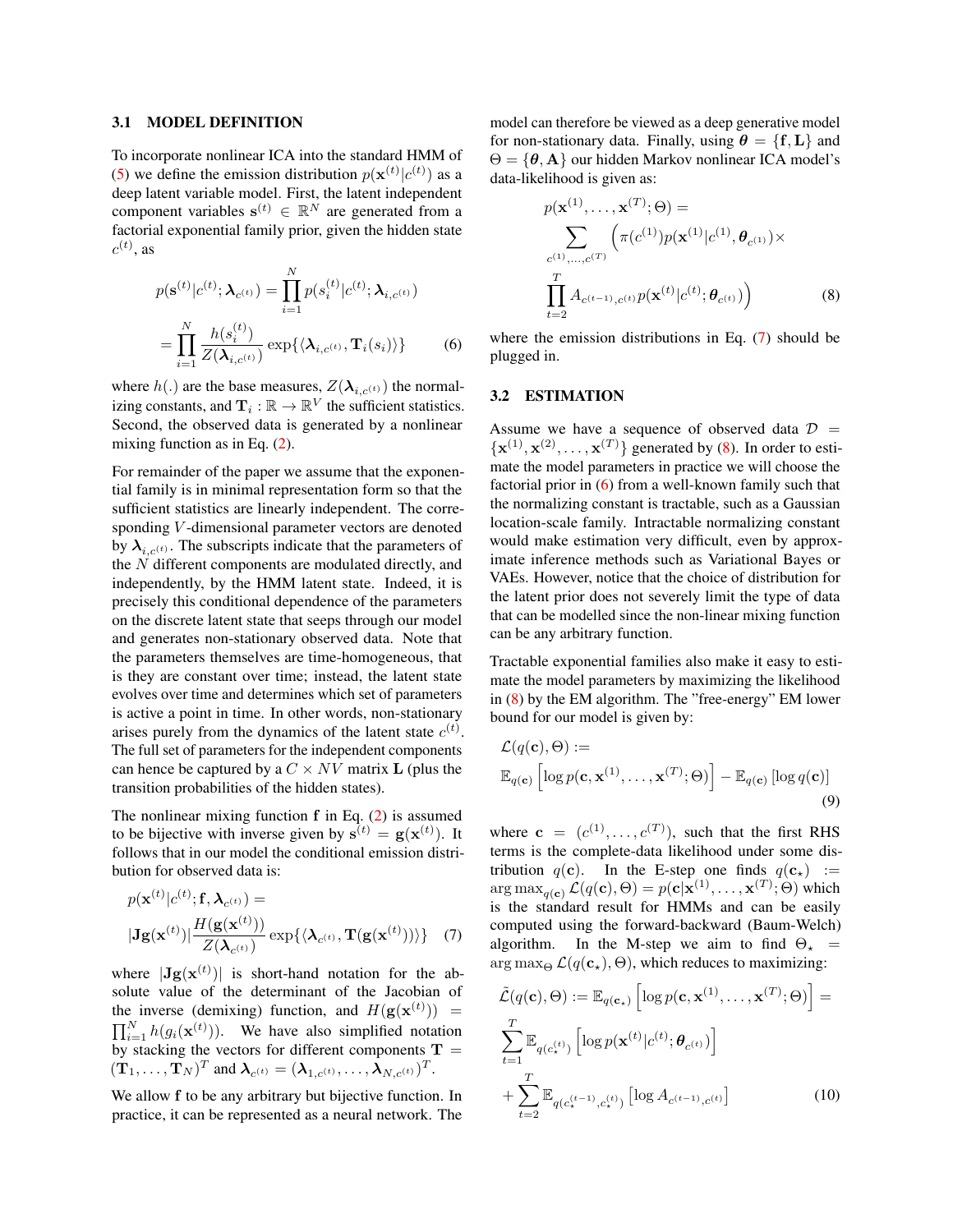#### <span id="page-3-3"></span>3.1 MODEL DEFINITION

To incorporate nonlinear ICA into the standard HMM of [\(5\)](#page-2-0) we define the emission distribution  $p(\mathbf{x}^{(t)}|c^{(t)})$  as a deep latent variable model. First, the latent independent component variables  $\mathbf{s}^{(t)} \in \mathbb{R}^N$  are generated from a factorial exponential family prior, given the hidden state  $c^{(t)}$ , as

$$
p(\mathbf{s}^{(t)}|c^{(t)};\boldsymbol{\lambda}_{c^{(t)}}) = \prod_{i=1}^{N} p(s_i^{(t)}|c^{(t)};\boldsymbol{\lambda}_{i,c^{(t)}})
$$

$$
= \prod_{i=1}^{N} \frac{h(s_i^{(t)})}{Z(\boldsymbol{\lambda}_{i,c^{(t)}})} \exp{\{\langle \boldsymbol{\lambda}_{i,c^{(t)}}, \mathbf{T}_i(s_i) \rangle\}} \tag{6}
$$

where  $h(.)$  are the base measures,  $Z(\lambda_{i,c^{(t)}})$  the normalizing constants, and  $\mathbf{T}_i : \mathbb{R} \to \mathbb{R}^V$  the sufficient statistics. Second, the observed data is generated by a nonlinear mixing function as in Eq. [\(2\)](#page-1-0).

For remainder of the paper we assume that the exponential family is in minimal representation form so that the sufficient statistics are linearly independent. The corresponding V -dimensional parameter vectors are denoted by  $\lambda_{i,c(t)}$ . The subscripts indicate that the parameters of the  $N$  different components are modulated directly, and independently, by the HMM latent state. Indeed, it is precisely this conditional dependence of the parameters on the discrete latent state that seeps through our model and generates non-stationary observed data. Note that the parameters themselves are time-homogeneous, that is they are constant over time; instead, the latent state evolves over time and determines which set of parameters is active a point in time. In other words, non-stationary arises purely from the dynamics of the latent state  $c^{(t)}$ . The full set of parameters for the independent components can hence be captured by a  $C \times NV$  matrix **L** (plus the transition probabilities of the hidden states).

The nonlinear mixing function  $f$  in Eq. [\(2\)](#page-1-0) is assumed to be bijective with inverse given by  $s^{(t)} = g(x^{(t)})$ . It follows that in our model the conditional emission distribution for observed data is:

$$
p(\mathbf{x}^{(t)}|c^{(t)};\mathbf{f},\boldsymbol{\lambda}_{c^{(t)}}) =
$$
  

$$
|\mathbf{Jg}(\mathbf{x}^{(t)})| \frac{H(\mathbf{g}(\mathbf{x}^{(t)}))}{Z(\boldsymbol{\lambda}_{c^{(t)}})} \exp{\{\langle \boldsymbol{\lambda}_{c^{(t)}}, \mathbf{T}(\mathbf{g}(\mathbf{x}^{(t)})) \rangle\}} \quad (7)
$$

where  $|\mathbf{Jg}(\mathbf{x}^{(t)})|$  is short-hand notation for the absolute value of the determinant of the Jacobian of the inverse (demixing) function, and  $H(g(\mathbf{x}^{(t)}))$  =  $\prod_{i=1}^{N} h(g_i(\mathbf{x}^{(t)}))$ . We have also simplified notation by stacking the vectors for different components  $\mathbf{T} =$  $(\mathbf{T}_1,\ldots,\mathbf{T}_N)^T$  and  $\boldsymbol{\lambda}_{c^{(t)}} = (\boldsymbol{\lambda}_{1,c^{(t)}},\ldots,\boldsymbol{\lambda}_{N,c^{(t)}})^T$ .

We allow  $f$  to be any arbitrary but bijective function. In practice, it can be represented as a neural network. The model can therefore be viewed as a deep generative model for non-stationary data. Finally, using  $\theta = \{f, L\}$  and  $\Theta = \{\theta, A\}$  our hidden Markov nonlinear ICA model's data-likelihood is given as:

<span id="page-3-1"></span>
$$
p(\mathbf{x}^{(1)}, ..., \mathbf{x}^{(T)}; \Theta) = \sum_{c^{(1)}, ..., c^{(T)}} \left( \pi(c^{(1)}) p(\mathbf{x}^{(1)} | c^{(1)}, \theta_{c^{(1)}}) \times \prod_{t=2}^{T} A_{c^{(t-1)}, c^{(t)}} p(\mathbf{x}^{(t)} | c^{(t)}; \theta_{c^{(t)}}) \right)
$$
(8)

<span id="page-3-2"></span>where the emission distributions in Eq. [\(7\)](#page-3-0) should be plugged in.

### <span id="page-3-4"></span>3.2 ESTIMATION

Assume we have a sequence of observed data  $\mathcal{D}$  =  $\{x^{(1)}, x^{(2)}, \ldots, x^{(T)}\}$  generated by [\(8\)](#page-3-1). In order to estimate the model parameters in practice we will choose the factorial prior in [\(6\)](#page-3-2) from a well-known family such that the normalizing constant is tractable, such as a Gaussian location-scale family. Intractable normalizing constant would make estimation very difficult, even by approximate inference methods such as Variational Bayes or VAEs. However, notice that the choice of distribution for the latent prior does not severely limit the type of data that can be modelled since the non-linear mixing function can be any arbitrary function.

Tractable exponential families also make it easy to estimate the model parameters by maximizing the likelihood in [\(8\)](#page-3-1) by the EM algorithm. The "free-energy" EM lower bound for our model is given by:

$$
\mathcal{L}(q(\mathbf{c}), \Theta) :=
$$
  

$$
\mathbb{E}_{q(\mathbf{c})} \left[ \log p(\mathbf{c}, \mathbf{x}^{(1)}, \dots, \mathbf{x}^{(T)}; \Theta) \right] - \mathbb{E}_{q(\mathbf{c})} \left[ \log q(\mathbf{c}) \right]
$$
(9)

where  $\mathbf{c} = (c^{(1)}, \dots, c^{(T)})$ , such that the first RHS terms is the complete-data likelihood under some distribution  $q(c)$ . In the E-step one finds  $q(c_*)$  :=  $\argmax_{q(\mathbf{c})} \mathcal{L}(q(\mathbf{c}), \Theta) = p(\mathbf{c}|\mathbf{x}^{(1)}, \dots, \mathbf{x}^{(T)}; \Theta)$  which is the standard result for HMMs and can be easily computed using the forward-backward (Baum-Welch) algorithm. In the M-step we aim to find  $\Theta_{\star}$  =  $\arg \max_{\Theta} \mathcal{L}(q(\mathbf{c}_\star), \Theta)$ , which reduces to maximizing:

<span id="page-3-0"></span>
$$
\tilde{\mathcal{L}}(q(\mathbf{c}), \Theta) := \mathbb{E}_{q(\mathbf{c}_{\star})} \left[ \log p(\mathbf{c}, \mathbf{x}^{(1)}, \dots, \mathbf{x}^{(T)}; \Theta) \right] = \sum_{t=1}^{T} \mathbb{E}_{q(c_{\star}^{(t)})} \left[ \log p(\mathbf{x}^{(t)} | c^{(t)}; \boldsymbol{\theta}_{c^{(t)}}) \right] + \sum_{t=2}^{T} \mathbb{E}_{q(c_{\star}^{(t-1)}, c_{\star}^{(t)})} \left[ \log A_{c^{(t-1)}, c^{(t)}} \right]
$$
\n(10)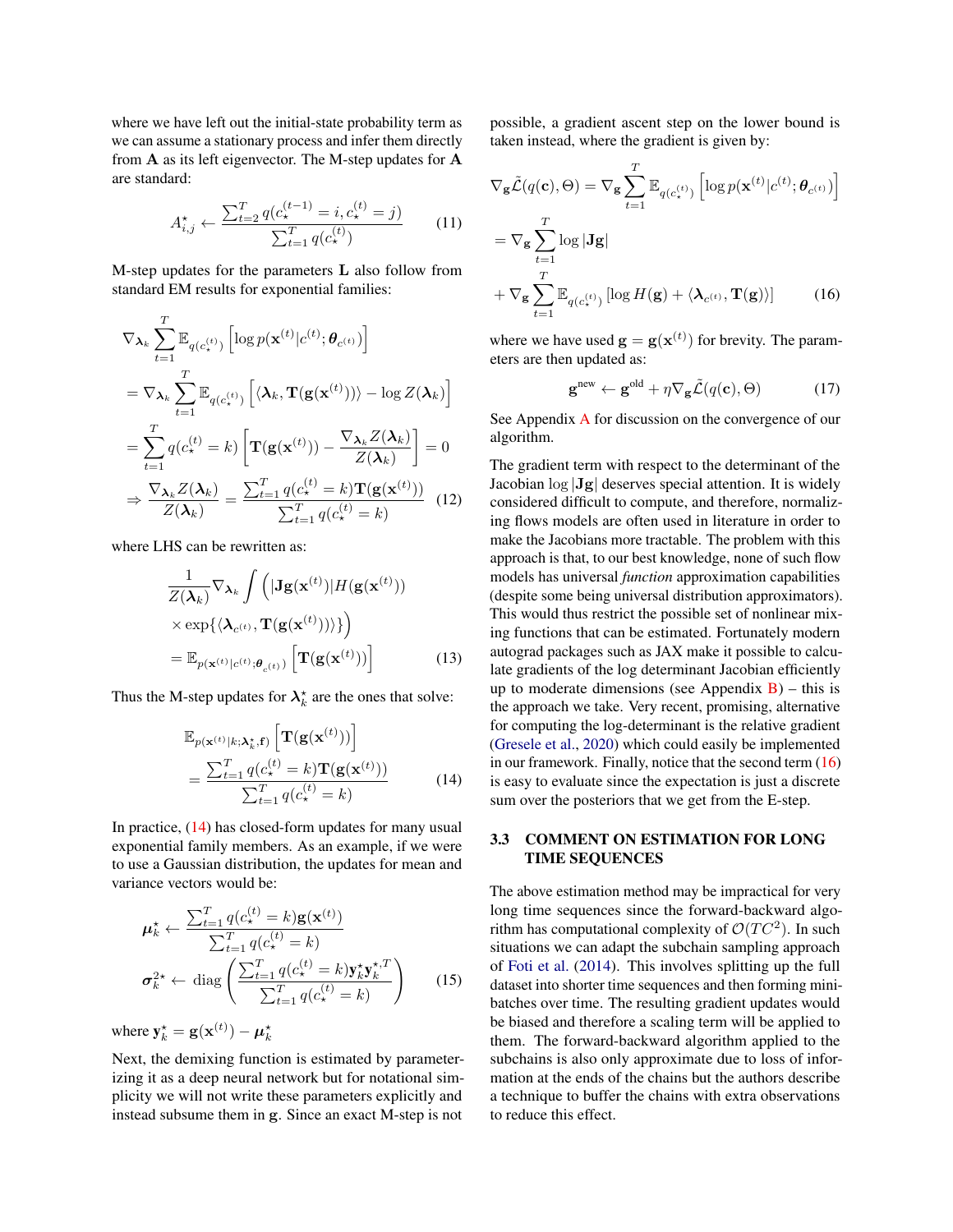where we have left out the initial-state probability term as we can assume a stationary process and infer them directly from  $A$  as its left eigenvector. The M-step updates for  $A$ are standard:

$$
A_{i,j}^{\star} \leftarrow \frac{\sum_{t=2}^{T} q(c_{\star}^{(t-1)} = i, c_{\star}^{(t)} = j)}{\sum_{t=1}^{T} q(c_{\star}^{(t)})}
$$
(11)

M-step updates for the parameters L also follow from standard EM results for exponential families:

$$
\nabla_{\mathbf{\lambda}_{k}} \sum_{t=1}^{T} \mathbb{E}_{q(c_{\star}^{(t)})} \left[ \log p(\mathbf{x}^{(t)} | c^{(t)}; \boldsymbol{\theta}_{c^{(t)}}) \right]
$$
\n
$$
= \nabla_{\mathbf{\lambda}_{k}} \sum_{t=1}^{T} \mathbb{E}_{q(c_{\star}^{(t)})} \left[ \langle \mathbf{\lambda}_{k}, \mathbf{T}(\mathbf{g}(\mathbf{x}^{(t)})) \rangle - \log Z(\mathbf{\lambda}_{k}) \right]
$$
\n
$$
= \sum_{t=1}^{T} q(c_{\star}^{(t)} = k) \left[ \mathbf{T}(\mathbf{g}(\mathbf{x}^{(t)})) - \frac{\nabla_{\mathbf{\lambda}_{k}} Z(\mathbf{\lambda}_{k})}{Z(\mathbf{\lambda}_{k})} \right] = 0
$$
\n
$$
\Rightarrow \frac{\nabla_{\mathbf{\lambda}_{k}} Z(\mathbf{\lambda}_{k})}{Z(\mathbf{\lambda}_{k})} = \frac{\sum_{t=1}^{T} q(c_{\star}^{(t)} = k) \mathbf{T}(\mathbf{g}(\mathbf{x}^{(t)}))}{\sum_{t=1}^{T} q(c_{\star}^{(t)} = k)} \quad (12)
$$

where LHS can be rewritten as:

$$
\frac{1}{Z(\boldsymbol{\lambda}_k)} \nabla_{\boldsymbol{\lambda}_k} \int \left( |\mathbf{J} \mathbf{g}(\mathbf{x}^{(t)})| H(\mathbf{g}(\mathbf{x}^{(t)})) \right) \times \exp \{ \langle \boldsymbol{\lambda}_{c^{(t)}}, \mathbf{T}(\mathbf{g}(\mathbf{x}^{(t)})) \rangle \} \right) \n= \mathbb{E}_{p(\mathbf{x}^{(t)}|c^{(t)}, \boldsymbol{\theta}_{c^{(t)}})} \left[ \mathbf{T}(\mathbf{g}(\mathbf{x}^{(t)})) \right]
$$
\n(13)

Thus the M-step updates for  $\lambda_k^*$  are the ones that solve:

$$
\mathbb{E}_{p(\mathbf{x}^{(t)}|k;\lambda_k^*,\mathbf{f})} \left[ \mathbf{T}(\mathbf{g}(\mathbf{x}^{(t)})) \right]
$$
\n
$$
= \frac{\sum_{t=1}^T q(c^{(t)}_{\star} = k) \mathbf{T}(\mathbf{g}(\mathbf{x}^{(t)}))}{\sum_{t=1}^T q(c^{(t)}_{\star} = k)} \tag{14}
$$

In practice, [\(14\)](#page-4-0) has closed-form updates for many usual exponential family members. As an example, if we were to use a Gaussian distribution, the updates for mean and variance vectors would be:

$$
\mu_k^* \leftarrow \frac{\sum_{t=1}^T q(c_{\star}^{(t)} = k) \mathbf{g}(\mathbf{x}^{(t)})}{\sum_{t=1}^T q(c_{\star}^{(t)} = k)}
$$
\n
$$
\sigma_k^{2*} \leftarrow \text{diag}\left(\frac{\sum_{t=1}^T q(c_{\star}^{(t)} = k) \mathbf{y}_k^* \mathbf{y}_k^{*T}}{\sum_{t=1}^T q(c_{\star}^{(t)} = k)}\right) \qquad (15)
$$

where  $y_k^* = g(\mathbf{x}^{(t)}) - \boldsymbol{\mu}_k^*$ 

Next, the demixing function is estimated by parameterizing it as a deep neural network but for notational simplicity we will not write these parameters explicitly and instead subsume them in g. Since an exact M-step is not

possible, a gradient ascent step on the lower bound is taken instead, where the gradient is given by:

$$
\nabla_{\mathbf{g}} \tilde{\mathcal{L}}(q(\mathbf{c}), \Theta) = \nabla_{\mathbf{g}} \sum_{t=1}^{T} \mathbb{E}_{q(c_{\star}^{(t)})} \left[ \log p(\mathbf{x}^{(t)} | c^{(t)}; \theta_{c^{(t)}}) \right]
$$

$$
= \nabla_{\mathbf{g}} \sum_{t=1}^{T} \log |\mathbf{J}\mathbf{g}|
$$

$$
+ \nabla_{\mathbf{g}} \sum_{t=1}^{T} \mathbb{E}_{q(c_{\star}^{(t)})} \left[ \log H(\mathbf{g}) + \langle \boldsymbol{\lambda}_{c^{(t)}}, \mathbf{T}(\mathbf{g}) \rangle \right]
$$
(16)

where we have used  $\mathbf{g} = \mathbf{g}(\mathbf{x}^{(t)})$  for brevity. The parameters are then updated as:

<span id="page-4-1"></span>
$$
\mathbf{g}^{\text{new}} \leftarrow \mathbf{g}^{\text{old}} + \eta \nabla_{\mathbf{g}} \tilde{\mathcal{L}}(q(\mathbf{c}), \Theta) \tag{17}
$$

See [A](#page--1-0)ppendix A for discussion on the convergence of our algorithm.

The gradient term with respect to the determinant of the Jacobian log |Jg| deserves special attention. It is widely considered difficult to compute, and therefore, normalizing flows models are often used in literature in order to make the Jacobians more tractable. The problem with this approach is that, to our best knowledge, none of such flow models has universal *function* approximation capabilities (despite some being universal distribution approximators). This would thus restrict the possible set of nonlinear mixing functions that can be estimated. Fortunately modern autograd packages such as JAX make it possible to calculate gradients of the log determinant Jacobian efficiently up to moderate dimensions (see Appendix  $\bf{B}$ ) – this is the approach we take. Very recent, promising, alternative for computing the log-determinant is the relative gradient [\(Gresele et al.,](#page-9-16) [2020\)](#page-9-16) which could easily be implemented in our framework. Finally, notice that the second term [\(16\)](#page-4-1) is easy to evaluate since the expectation is just a discrete sum over the posteriors that we get from the E-step.

### <span id="page-4-2"></span><span id="page-4-0"></span>3.3 COMMENT ON ESTIMATION FOR LONG TIME SEQUENCES

The above estimation method may be impractical for very long time sequences since the forward-backward algorithm has computational complexity of  $\mathcal{O}(TC^2)$ . In such situations we can adapt the subchain sampling approach of [Foti et al.](#page-9-17) [\(2014\)](#page-9-17). This involves splitting up the full dataset into shorter time sequences and then forming minibatches over time. The resulting gradient updates would be biased and therefore a scaling term will be applied to them. The forward-backward algorithm applied to the subchains is also only approximate due to loss of information at the ends of the chains but the authors describe a technique to buffer the chains with extra observations to reduce this effect.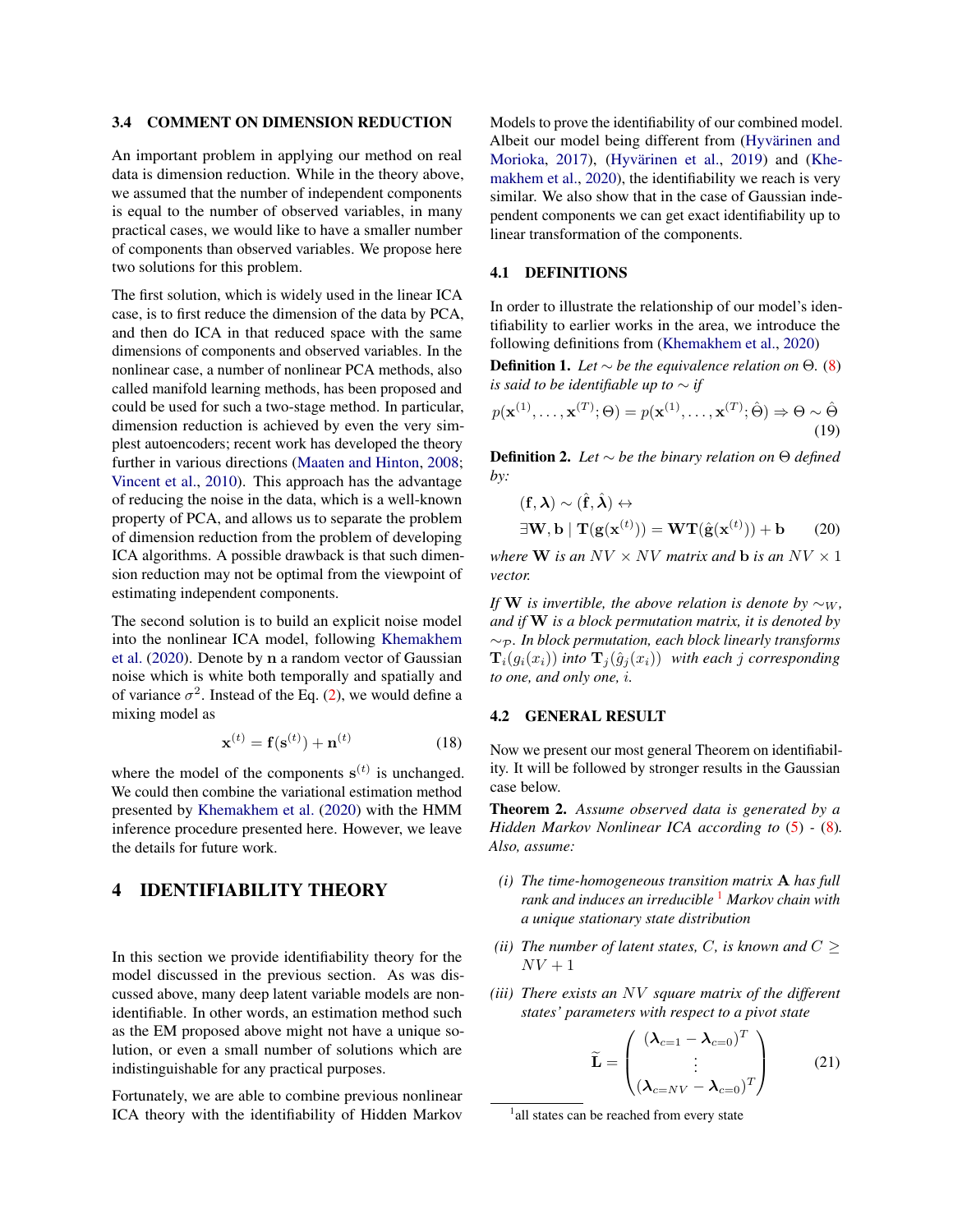#### 3.4 COMMENT ON DIMENSION REDUCTION

An important problem in applying our method on real data is dimension reduction. While in the theory above, we assumed that the number of independent components is equal to the number of observed variables, in many practical cases, we would like to have a smaller number of components than observed variables. We propose here two solutions for this problem.

The first solution, which is widely used in the linear ICA case, is to first reduce the dimension of the data by PCA, and then do ICA in that reduced space with the same dimensions of components and observed variables. In the nonlinear case, a number of nonlinear PCA methods, also called manifold learning methods, has been proposed and could be used for such a two-stage method. In particular, dimension reduction is achieved by even the very simplest autoencoders; recent work has developed the theory further in various directions [\(Maaten and Hinton,](#page-9-18) [2008;](#page-9-18) [Vincent et al.,](#page-9-19) [2010\)](#page-9-19). This approach has the advantage of reducing the noise in the data, which is a well-known property of PCA, and allows us to separate the problem of dimension reduction from the problem of developing ICA algorithms. A possible drawback is that such dimension reduction may not be optimal from the viewpoint of estimating independent components.

The second solution is to build an explicit noise model into the nonlinear ICA model, following [Khemakhem](#page-9-3) [et al.](#page-9-3) [\(2020\)](#page-9-3). Denote by n a random vector of Gaussian noise which is white both temporally and spatially and of variance  $\sigma^2$ . Instead of the Eq. [\(2\)](#page-1-0), we would define a mixing model as

$$
\mathbf{x}^{(t)} = \mathbf{f}(\mathbf{s}^{(t)}) + \mathbf{n}^{(t)} \tag{18}
$$

where the model of the components  $s^{(t)}$  is unchanged. We could then combine the variational estimation method presented by [Khemakhem et al.](#page-9-3) [\(2020\)](#page-9-3) with the HMM inference procedure presented here. However, we leave the details for future work.

# 4 IDENTIFIABILITY THEORY

In this section we provide identifiability theory for the model discussed in the previous section. As was discussed above, many deep latent variable models are nonidentifiable. In other words, an estimation method such as the EM proposed above might not have a unique solution, or even a small number of solutions which are indistinguishable for any practical purposes.

Fortunately, we are able to combine previous nonlinear ICA theory with the identifiability of Hidden Markov Models to prove the identifiability of our combined model. Albeit our model being different from (Hyvärinen and [Morioka,](#page-9-1) [2017\)](#page-9-1), (Hyvärinen et al., [2019\)](#page-9-2) and [\(Khe](#page-9-3)[makhem et al.,](#page-9-3) [2020\)](#page-9-3), the identifiability we reach is very similar. We also show that in the case of Gaussian independent components we can get exact identifiability up to linear transformation of the components.

#### 4.1 DEFINITIONS

In order to illustrate the relationship of our model's identifiability to earlier works in the area, we introduce the following definitions from [\(Khemakhem et al.,](#page-9-3) [2020\)](#page-9-3)

**Definition 1.** *Let* ∼ *be the equivalence relation on*  $\Theta$ *.* [\(8\)](#page-3-1) *is said to be identifiable up to* ∼ *if*

$$
p(\mathbf{x}^{(1)}, \dots, \mathbf{x}^{(T)}; \Theta) = p(\mathbf{x}^{(1)}, \dots, \mathbf{x}^{(T)}; \hat{\Theta}) \Rightarrow \Theta \sim \hat{\Theta}
$$
\n(19)

Definition 2. *Let* ∼ *be the binary relation on* Θ *defined by:*

$$
(\mathbf{f}, \boldsymbol{\lambda}) \sim (\hat{\mathbf{f}}, \hat{\boldsymbol{\lambda}}) \leftrightarrow \exists \mathbf{W}, \mathbf{b} \mid \mathbf{T}(\mathbf{g}(\mathbf{x}^{(t)})) = \mathbf{W} \mathbf{T}(\hat{\mathbf{g}}(\mathbf{x}^{(t)})) + \mathbf{b}
$$
 (20)

*where* **W** *is an*  $NV \times NV$  *matrix and* **b** *is an*  $NV \times 1$ *vector.*

*If* **W** *is invertible, the above relation is denote by*  $\sim_W$ *, and if* W *is a block permutation matrix, it is denoted by* ∼<sup>P</sup> *. In block permutation, each block linearly transforms*  $\mathbf{T}_i(g_i(x_i))$  *into*  $\mathbf{T}_j(\hat{g}_j(x_i))$  *with each j corresponding to one, and only one,* i*.*

#### 4.2 GENERAL RESULT

Now we present our most general Theorem on identifiability. It will be followed by stronger results in the Gaussian case below.

<span id="page-5-4"></span>Theorem 2. *Assume observed data is generated by a Hidden Markov Nonlinear ICA according to* [\(5\)](#page-2-0) *-* [\(8\)](#page-3-1)*. Also, assume:*

- <span id="page-5-1"></span>*(i) The time-homogeneous transition matrix* A *has full rank and induces an irreducible* [1](#page-5-0) *Markov chain with a unique stationary state distribution*
- <span id="page-5-3"></span>*(ii) The number of latent states, C, is known and*  $C \geq$  $NV+1$
- *(iii) There exists an* NV *square matrix of the different states' parameters with respect to a pivot state*

<span id="page-5-2"></span>
$$
\widetilde{\mathbf{L}} = \begin{pmatrix} (\lambda_{c=1} - \lambda_{c=0})^T \\ \vdots \\ (\lambda_{c=NV} - \lambda_{c=0})^T \end{pmatrix}
$$
 (21)

<span id="page-5-0"></span><sup>&</sup>lt;sup>1</sup> all states can be reached from every state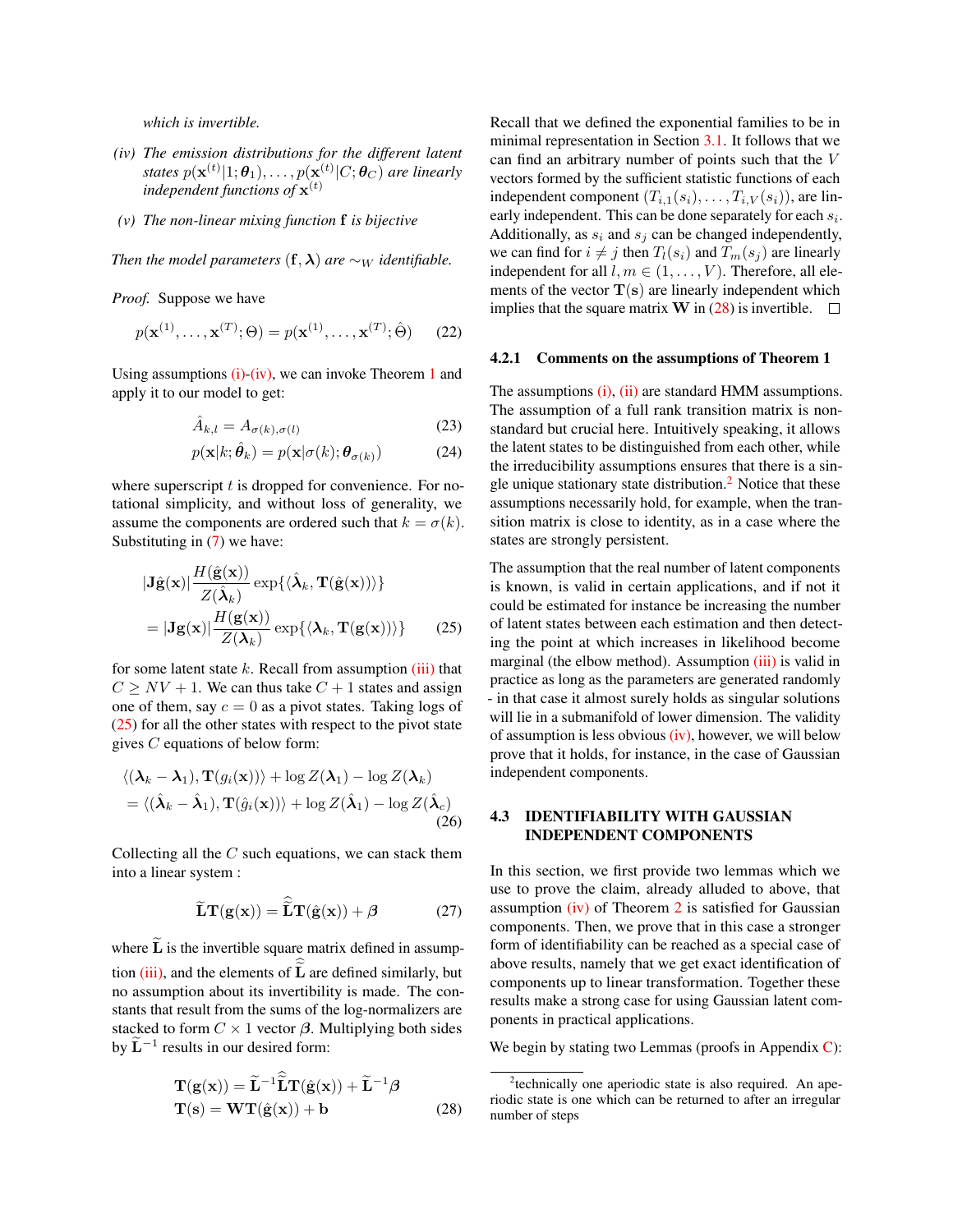*which is invertible.*

- <span id="page-6-0"></span>*(iv) The emission distributions for the different latent* states  $p(\mathbf{x}^{(t)}|1;\boldsymbol{\theta}_1), \ldots, p(\mathbf{x}^{(t)}|C;\boldsymbol{\theta}_C)$  are linearly independent functions of  $\mathbf{x}^{(t)}$
- <span id="page-6-4"></span>*(v) The non-linear mixing function* f *is bijective*

*Then the model parameters*  $(f, \lambda)$  *are*  $\sim_W$  *identifiable.* 

*Proof.* Suppose we have

$$
p(\mathbf{x}^{(1)}, \dots, \mathbf{x}^{(T)}; \Theta) = p(\mathbf{x}^{(1)}, \dots, \mathbf{x}^{(T)}; \hat{\Theta})
$$
 (22)

Using assumptions  $(i)-(iv)$  $(i)-(iv)$ , we can invoke Theorem [1](#page-2-1) and apply it to our model to get:

$$
\hat{A}_{k,l} = A_{\sigma(k),\sigma(l)} \tag{23}
$$

$$
p(\mathbf{x}|k; \hat{\boldsymbol{\theta}}_k) = p(\mathbf{x}|\sigma(k); \boldsymbol{\theta}_{\sigma(k)})
$$
 (24)

where superscript  $t$  is dropped for convenience. For notational simplicity, and without loss of generality, we assume the components are ordered such that  $k = \sigma(k)$ . Substituting in [\(7\)](#page-3-0) we have:

$$
|\mathbf{J}\hat{\mathbf{g}}(\mathbf{x})| \frac{H(\hat{\mathbf{g}}(\mathbf{x}))}{Z(\hat{\boldsymbol{\lambda}}_k)} \exp{\{\langle \hat{\boldsymbol{\lambda}}_k, \mathbf{T}(\hat{\mathbf{g}}(\mathbf{x})) \rangle\}}
$$
  
= 
$$
|\mathbf{J}\mathbf{g}(\mathbf{x})| \frac{H(\mathbf{g}(\mathbf{x}))}{Z(\boldsymbol{\lambda}_k)} \exp{\{\langle \boldsymbol{\lambda}_k, \mathbf{T}(\mathbf{g}(\mathbf{x})) \rangle\}}
$$
(25)

for some latent state  $k$ . Recall from assumption [\(iii\)](#page-5-2) that  $C \geq NV + 1$ . We can thus take  $C + 1$  states and assign one of them, say  $c = 0$  as a pivot states. Taking logs of [\(25\)](#page-6-1) for all the other states with respect to the pivot state gives  $C$  equations of below form:

$$
\langle (\boldsymbol{\lambda}_k - \boldsymbol{\lambda}_1), \mathbf{T}(g_i(\mathbf{x})) \rangle + \log Z(\boldsymbol{\lambda}_1) - \log Z(\boldsymbol{\lambda}_k)
$$
  
=  $\langle (\hat{\boldsymbol{\lambda}}_k - \hat{\boldsymbol{\lambda}}_1), \mathbf{T}(\hat{g}_i(\mathbf{x})) \rangle + \log Z(\hat{\boldsymbol{\lambda}}_1) - \log Z(\hat{\boldsymbol{\lambda}}_c)$  (26)

Collecting all the  $C$  such equations, we can stack them into a linear system :

$$
\widetilde{\mathbf{L}}\mathbf{T}(\mathbf{g}(\mathbf{x})) = \widehat{\widetilde{\mathbf{L}}}\mathbf{T}(\hat{\mathbf{g}}(\mathbf{x})) + \beta
$$
 (27)

where  $\widetilde{\mathbf{L}}$  is the invertible square matrix defined in assumption  $(iii)$ , and the elements of  $L$  are defined similarly, but no assumption about its invertibility is made. The constants that result from the sums of the log-normalizers are stacked to form  $C \times 1$  vector  $\beta$ . Multiplying both sides by  $\tilde{\mathbf{L}}^{-1}$  results in our desired form:

$$
\mathbf{T}(\mathbf{g}(\mathbf{x})) = \widetilde{\mathbf{L}}^{-1} \widehat{\widetilde{\mathbf{L}}} \mathbf{T}(\widehat{\mathbf{g}}(\mathbf{x})) + \widetilde{\mathbf{L}}^{-1} \boldsymbol{\beta} \n\mathbf{T}(\mathbf{s}) = \mathbf{W} \mathbf{T}(\widehat{\mathbf{g}}(\mathbf{x})) + \mathbf{b}
$$
\n(28)

Recall that we defined the exponential families to be in minimal representation in Section [3.1.](#page-3-3) It follows that we can find an arbitrary number of points such that the V vectors formed by the sufficient statistic functions of each independent component  $(T_{i,1}(s_i), \ldots, T_{i,V}(s_i))$ , are linearly independent. This can be done separately for each  $s_i$ . Additionally, as  $s_i$  and  $s_j$  can be changed independently, we can find for  $i \neq j$  then  $T_l(s_i)$  and  $T_m(s_j)$  are linearly independent for all  $l, m \in (1, \ldots, V)$ . Therefore, all elements of the vector  $T(s)$  are linearly independent which implies that the square matrix **W** in [\(28\)](#page-6-2) is invertible.  $\Box$ 

#### 4.2.1 Comments on the assumptions of Theorem 1

The assumptions [\(i\),](#page-5-1) [\(ii\)](#page-5-3) are standard HMM assumptions. The assumption of a full rank transition matrix is nonstandard but crucial here. Intuitively speaking, it allows the latent states to be distinguished from each other, while the irreducibility assumptions ensures that there is a sin-gle unique stationary state distribution.<sup>[2](#page-6-3)</sup> Notice that these assumptions necessarily hold, for example, when the transition matrix is close to identity, as in a case where the states are strongly persistent.

<span id="page-6-1"></span>The assumption that the real number of latent components is known, is valid in certain applications, and if not it could be estimated for instance be increasing the number of latent states between each estimation and then detecting the point at which increases in likelihood become marginal (the elbow method). Assumption [\(iii\)](#page-5-2) is valid in practice as long as the parameters are generated randomly - in that case it almost surely holds as singular solutions will lie in a submanifold of lower dimension. The validity of assumption is less obvious  $(iv)$ , however, we will below prove that it holds, for instance, in the case of Gaussian independent components.

### 4.3 IDENTIFIABILITY WITH GAUSSIAN INDEPENDENT COMPONENTS

In this section, we first provide two lemmas which we use to prove the claim, already alluded to above, that assumption  $(iv)$  of Theorem [2](#page-5-4) is satisfied for Gaussian components. Then, we prove that in this case a stronger form of identifiability can be reached as a special case of above results, namely that we get exact identification of components up to linear transformation. Together these results make a strong case for using Gaussian latent components in practical applications.

We begin by stating two Lemmas (proofs in Appendix [C\)](#page--1-2):

<span id="page-6-3"></span><span id="page-6-2"></span><sup>&</sup>lt;sup>2</sup>technically one aperiodic state is also required. An aperiodic state is one which can be returned to after an irregular number of steps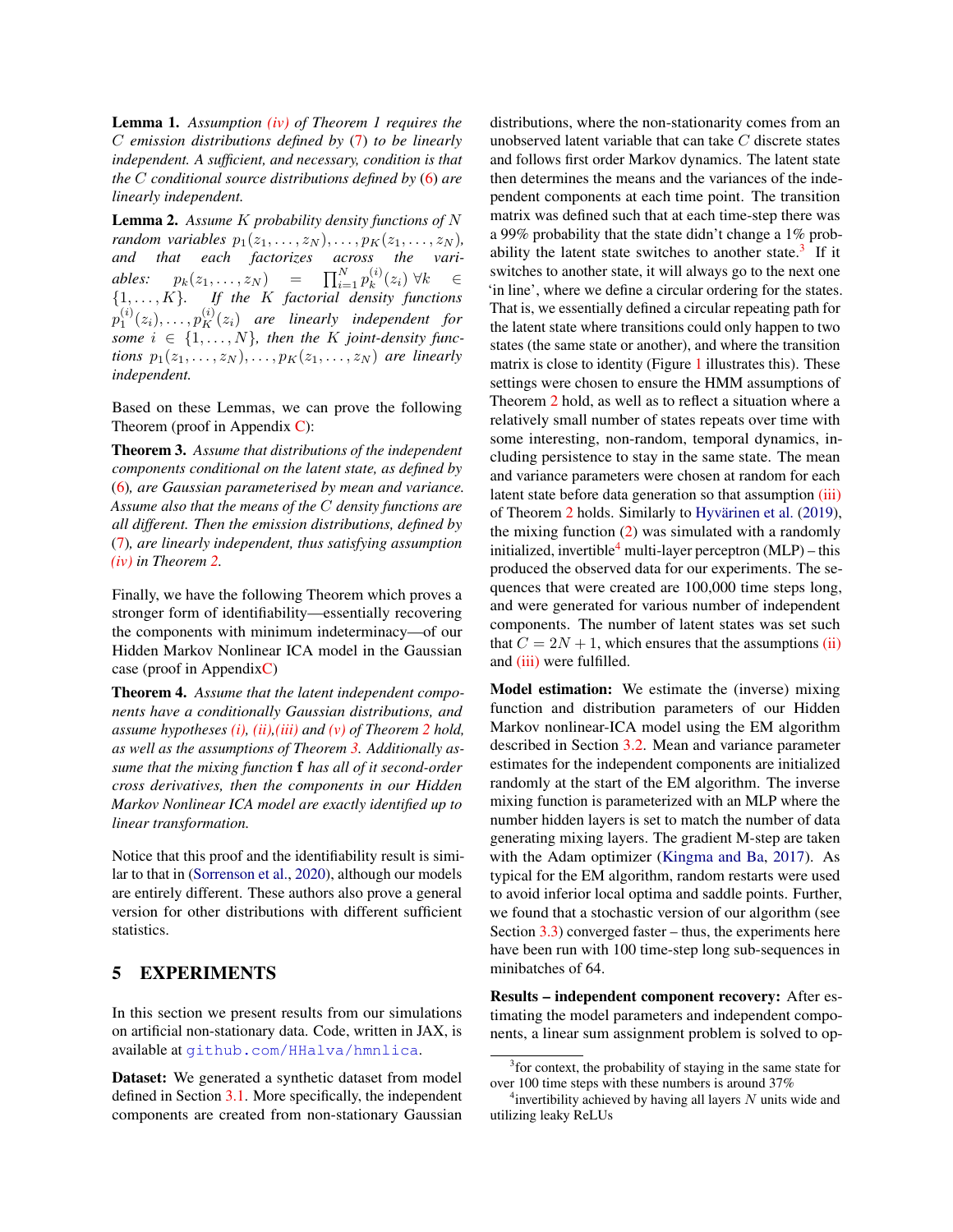Lemma 1. *Assumption [\(iv\)](#page-6-0) of Theorem 1 requires the* C *emission distributions defined by* [\(7\)](#page-3-0) *to be linearly independent. A sufficient, and necessary, condition is that the* C *conditional source distributions defined by* [\(6\)](#page-3-2) *are linearly independent.*

Lemma 2. *Assume* K *probability density functions of* N *random variables*  $p_1(z_1, \ldots, z_N), \ldots, p_K(z_1, \ldots, z_N)$ *, and that each factorizes across the variables:*  $p_k(z_1,...,z_N) = \prod_{i=1}^N p_k^{(i)}$  $k^{(i)}(z_i)$   $\forall k \in$ {1, . . . , K}*. If the* K *factorial density functions*  $p_1^{(i)}(z_i), \ldots, p_K^{(i)}(z_i)$  are linearly independent for *some*  $i \in \{1, \ldots, N\}$ , then the K joint-density func*tions*  $p_1(z_1, \ldots, z_N), \ldots, p_K(z_1, \ldots, z_N)$  *are linearly independent.*

Based on these Lemmas, we can prove the following Theorem (proof in Appendix [C\)](#page--1-2):

<span id="page-7-0"></span>Theorem 3. *Assume that distributions of the independent components conditional on the latent state, as defined by* [\(6\)](#page-3-2)*, are Gaussian parameterised by mean and variance. Assume also that the means of the* C *density functions are all different. Then the emission distributions, defined by* [\(7\)](#page-3-0)*, are linearly independent, thus satisfying assumption [\(iv\)](#page-6-0) in Theorem [2.](#page-5-4)*

Finally, we have the following Theorem which proves a stronger form of identifiability—essentially recovering the components with minimum indeterminacy—of our Hidden Markov Nonlinear ICA model in the Gaussian case (proof in Appendi[xC\)](#page--1-2)

Theorem 4. *Assume that the latent independent components have a conditionally Gaussian distributions, and assume hypotheses [\(i\),](#page-5-1) [\(ii\),](#page-5-3)[\(iii\)](#page-5-2) and [\(v\)](#page-6-4) of Theorem [2](#page-5-4) hold, as well as the assumptions of Theorem [3.](#page-7-0) Additionally assume that the mixing function* f *has all of it second-order cross derivatives, then the components in our Hidden Markov Nonlinear ICA model are exactly identified up to linear transformation.*

Notice that this proof and the identifiability result is similar to that in [\(Sorrenson et al.,](#page-9-4) [2020\)](#page-9-4), although our models are entirely different. These authors also prove a general version for other distributions with different sufficient statistics.

# 5 EXPERIMENTS

In this section we present results from our simulations on artificial non-stationary data. Code, written in JAX, is available at <github.com/HHalva/hmnlica>.

Dataset: We generated a synthetic dataset from model defined in Section [3.1.](#page-3-3) More specifically, the independent components are created from non-stationary Gaussian distributions, where the non-stationarity comes from an unobserved latent variable that can take C discrete states and follows first order Markov dynamics. The latent state then determines the means and the variances of the independent components at each time point. The transition matrix was defined such that at each time-step there was a 99% probability that the state didn't change a 1% probability the latent state switches to another state. $3$  If it switches to another state, it will always go to the next one 'in line', where we define a circular ordering for the states. That is, we essentially defined a circular repeating path for the latent state where transitions could only happen to two states (the same state or another), and where the transition matrix is close to identity (Figure [1](#page-8-0) illustrates this). These settings were chosen to ensure the HMM assumptions of Theorem [2](#page-5-4) hold, as well as to reflect a situation where a relatively small number of states repeats over time with some interesting, non-random, temporal dynamics, including persistence to stay in the same state. The mean and variance parameters were chosen at random for each latent state before data generation so that assumption [\(iii\)](#page-5-2) of Theorem [2](#page-5-4) holds. Similarly to Hyvärinen et al. [\(2019\)](#page-9-2), the mixing function [\(2\)](#page-1-0) was simulated with a randomly initialized, invertible<sup>[4](#page-7-2)</sup> multi-layer perceptron  $(MLP)$  – this produced the observed data for our experiments. The sequences that were created are 100,000 time steps long, and were generated for various number of independent components. The number of latent states was set such that  $C = 2N + 1$ , which ensures that the assumptions [\(ii\)](#page-5-3) and [\(iii\)](#page-5-2) were fulfilled.

Model estimation: We estimate the (inverse) mixing function and distribution parameters of our Hidden Markov nonlinear-ICA model using the EM algorithm described in Section [3.2.](#page-3-4) Mean and variance parameter estimates for the independent components are initialized randomly at the start of the EM algorithm. The inverse mixing function is parameterized with an MLP where the number hidden layers is set to match the number of data generating mixing layers. The gradient M-step are taken with the Adam optimizer [\(Kingma and Ba,](#page-9-20) [2017\)](#page-9-20). As typical for the EM algorithm, random restarts were used to avoid inferior local optima and saddle points. Further, we found that a stochastic version of our algorithm (see Section  $3.3$ ) converged faster – thus, the experiments here have been run with 100 time-step long sub-sequences in minibatches of 64.

Results – independent component recovery: After estimating the model parameters and independent components, a linear sum assignment problem is solved to op-

<span id="page-7-1"></span><sup>&</sup>lt;sup>3</sup> for context, the probability of staying in the same state for over 100 time steps with these numbers is around 37%

<span id="page-7-2"></span> $4$ invertibility achieved by having all layers  $N$  units wide and utilizing leaky ReLUs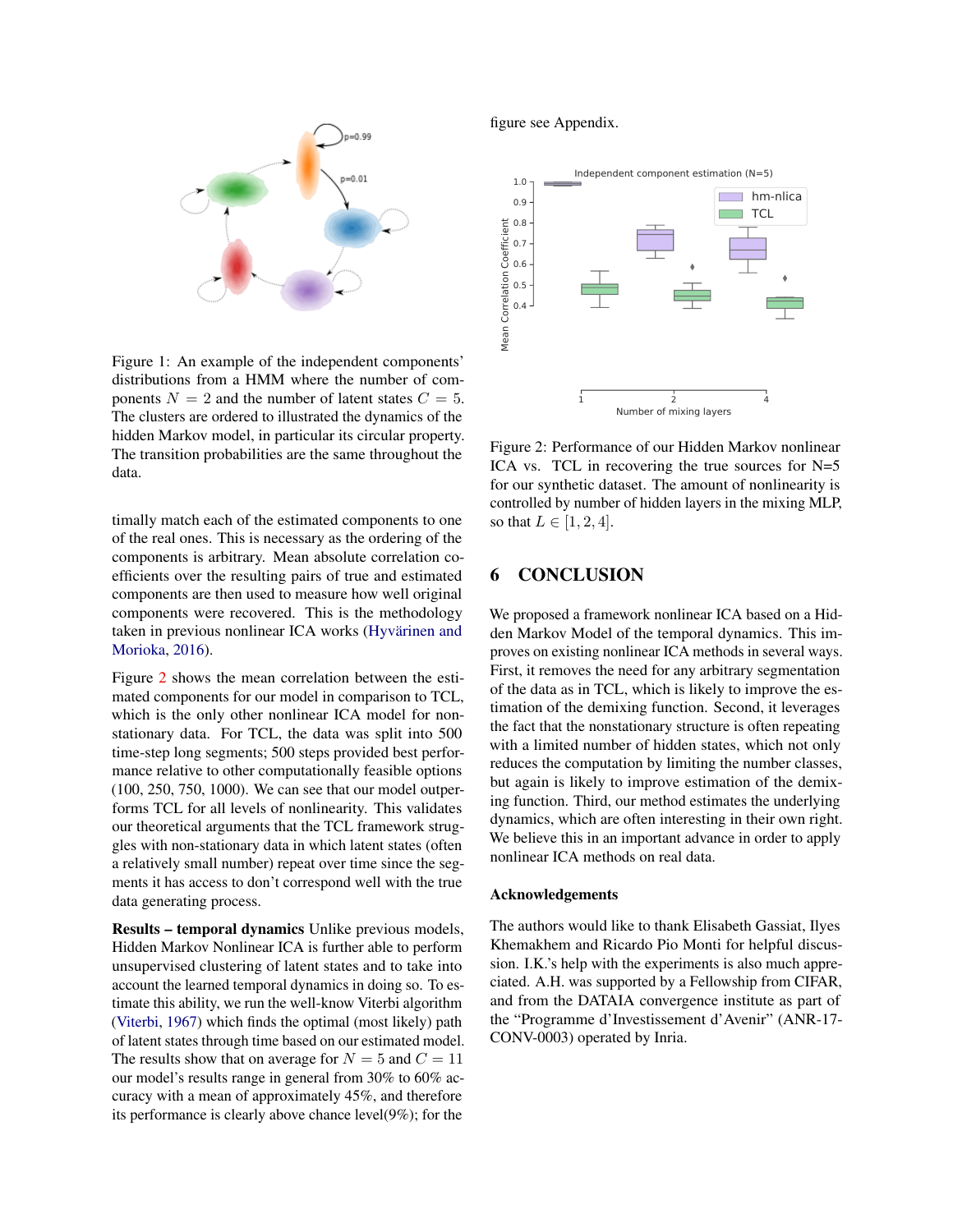

<span id="page-8-0"></span>Figure 1: An example of the independent components' distributions from a HMM where the number of components  $N = 2$  and the number of latent states  $C = 5$ . The clusters are ordered to illustrated the dynamics of the hidden Markov model, in particular its circular property. The transition probabilities are the same throughout the data.

timally match each of the estimated components to one of the real ones. This is necessary as the ordering of the components is arbitrary. Mean absolute correlation coefficients over the resulting pairs of true and estimated components are then used to measure how well original components were recovered. This is the methodology taken in previous nonlinear ICA works (Hyvärinen and [Morioka,](#page-9-0) [2016\)](#page-9-0).

Figure [2](#page-8-1) shows the mean correlation between the estimated components for our model in comparison to TCL, which is the only other nonlinear ICA model for nonstationary data. For TCL, the data was split into 500 time-step long segments; 500 steps provided best performance relative to other computationally feasible options (100, 250, 750, 1000). We can see that our model outperforms TCL for all levels of nonlinearity. This validates our theoretical arguments that the TCL framework struggles with non-stationary data in which latent states (often a relatively small number) repeat over time since the segments it has access to don't correspond well with the true data generating process.

Results – temporal dynamics Unlike previous models, Hidden Markov Nonlinear ICA is further able to perform unsupervised clustering of latent states and to take into account the learned temporal dynamics in doing so. To estimate this ability, we run the well-know Viterbi algorithm [\(Viterbi,](#page-9-21) [1967\)](#page-9-21) which finds the optimal (most likely) path of latent states through time based on our estimated model. The results show that on average for  $N = 5$  and  $C = 11$ our model's results range in general from 30% to 60% accuracy with a mean of approximately 45%, and therefore its performance is clearly above chance level(9%); for the

figure see Appendix.



<span id="page-8-1"></span>Figure 2: Performance of our Hidden Markov nonlinear ICA vs. TCL in recovering the true sources for N=5 for our synthetic dataset. The amount of nonlinearity is controlled by number of hidden layers in the mixing MLP, so that  $L \in [1, 2, 4]$ .

## 6 CONCLUSION

We proposed a framework nonlinear ICA based on a Hidden Markov Model of the temporal dynamics. This improves on existing nonlinear ICA methods in several ways. First, it removes the need for any arbitrary segmentation of the data as in TCL, which is likely to improve the estimation of the demixing function. Second, it leverages the fact that the nonstationary structure is often repeating with a limited number of hidden states, which not only reduces the computation by limiting the number classes, but again is likely to improve estimation of the demixing function. Third, our method estimates the underlying dynamics, which are often interesting in their own right. We believe this in an important advance in order to apply nonlinear ICA methods on real data.

#### Acknowledgements

The authors would like to thank Elisabeth Gassiat, Ilyes Khemakhem and Ricardo Pio Monti for helpful discussion. I.K.'s help with the experiments is also much appreciated. A.H. was supported by a Fellowship from CIFAR, and from the DATAIA convergence institute as part of the "Programme d'Investissement d'Avenir" (ANR-17- CONV-0003) operated by Inria.